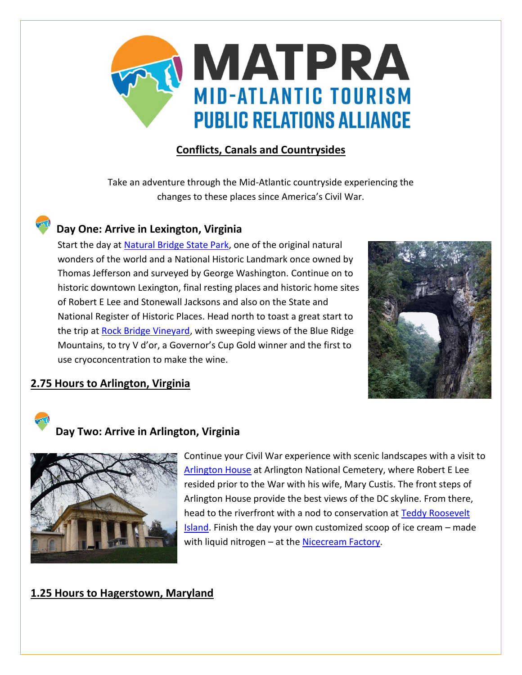

## **Conflicts, Canals and Countrysides**

Take an adventure through the Mid-Atlantic countryside experiencing the changes to these places since America's Civil War.

# **Day One: Arrive in Lexington, Virginia**

Start the day at [Natural Bridge State Park,](http://www.dcr.virginia.gov/state-parks/natural-bridge#general_information) one of the original natural wonders of the world and a National Historic Landmark once owned by Thomas Jefferson and surveyed by George Washington. Continue on to historic downtown Lexington, final resting places and historic home sites of Robert E Lee and Stonewall Jacksons and also on the State and National Register of Historic Places. Head north to toast a great start to the trip at **Rock Bridge Vineyard**, with sweeping views of the Blue Ridge Mountains, to try V d'or, a Governor's Cup Gold winner and the first to use cryoconcentration to make the wine.



## **2.75 Hours to Arlington, Virginia**



## **Day Two: Arrive in Arlington, Virginia**



Continue your Civil War experience with scenic landscapes with a visit to [Arlington House](https://www.nps.gov/arho/index.htm) at Arlington National Cemetery, where Robert E Lee resided prior to the War with his wife, Mary Custis. The front steps of Arlington House provide the best views of the DC skyline. From there, head to the riverfront with a nod to conservation at Teddy Roosevelt [Island.](https://www.nps.gov/this/index.htm) Finish the day your own customized scoop of ice cream – made with liquid nitrogen – at th[e Nicecream Factory.](http://www.nicecream.com/)

#### **1.25 Hours to Hagerstown, Maryland**